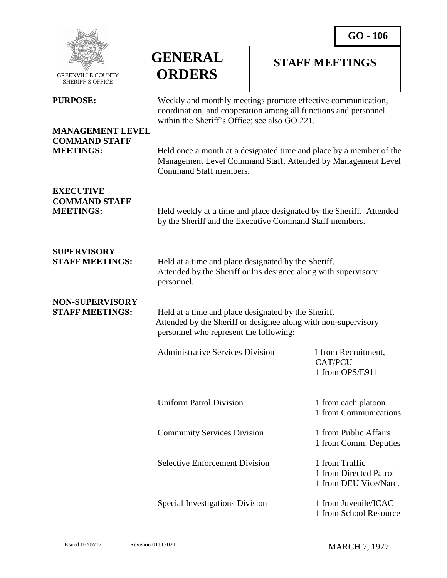

 GREENVILLE COUNTY SHERIFF'S OFFICE

## **GENERAL ORDERS**

## **STAFF MEETINGS**

| <b>PURPOSE:</b>                                                     | Weekly and monthly meetings promote effective communication,<br>coordination, and cooperation among all functions and personnel<br>within the Sheriff's Office; see also GO 221. |                                                                   |
|---------------------------------------------------------------------|----------------------------------------------------------------------------------------------------------------------------------------------------------------------------------|-------------------------------------------------------------------|
| <b>MANAGEMENT LEVEL</b><br><b>COMMAND STAFF</b><br><b>MEETINGS:</b> | Held once a month at a designated time and place by a member of the<br>Management Level Command Staff. Attended by Management Level<br>Command Staff members.                    |                                                                   |
| <b>EXECUTIVE</b><br><b>COMMAND STAFF</b><br><b>MEETINGS:</b>        | Held weekly at a time and place designated by the Sheriff. Attended<br>by the Sheriff and the Executive Command Staff members.                                                   |                                                                   |
| <b>SUPERVISORY</b><br><b>STAFF MEETINGS:</b>                        | Held at a time and place designated by the Sheriff.<br>Attended by the Sheriff or his designee along with supervisory<br>personnel.                                              |                                                                   |
| <b>NON-SUPERVISORY</b><br><b>STAFF MEETINGS:</b>                    | Held at a time and place designated by the Sheriff.<br>Attended by the Sheriff or designee along with non-supervisory<br>personnel who represent the following:                  |                                                                   |
|                                                                     | <b>Administrative Services Division</b>                                                                                                                                          | 1 from Recruitment,<br><b>CAT/PCU</b><br>1 from OPS/E911          |
|                                                                     | <b>Uniform Patrol Division</b>                                                                                                                                                   | 1 from each platoon<br>1 from Communications                      |
|                                                                     | <b>Community Services Division</b>                                                                                                                                               | 1 from Public Affairs<br>1 from Comm. Deputies                    |
|                                                                     | <b>Selective Enforcement Division</b>                                                                                                                                            | 1 from Traffic<br>1 from Directed Patrol<br>1 from DEU Vice/Narc. |
|                                                                     | Special Investigations Division                                                                                                                                                  | 1 from Juvenile/ICAC<br>1 from School Resource                    |